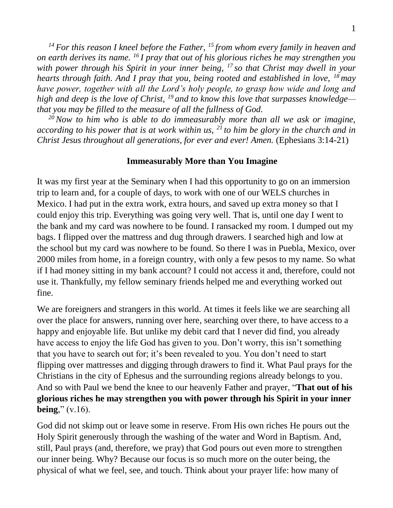*<sup>14</sup> For this reason I kneel before the Father, <sup>15</sup> from whom every family in heaven and on earth derives its name. <sup>16</sup> I pray that out of his glorious riches he may strengthen you with power through his Spirit in your inner being, <sup>17</sup> so that Christ may dwell in your hearts through faith. And I pray that you, being rooted and established in love, <sup>18</sup> may have power, together with all the Lord's holy people, to grasp how wide and long and high and deep is the love of Christ, <sup>19</sup> and to know this love that surpasses knowledge that you may be filled to the measure of all the fullness of God.* 

*<sup>20</sup>Now to him who is able to do immeasurably more than all we ask or imagine, according to his power that is at work within us, <sup>21</sup> to him be glory in the church and in Christ Jesus throughout all generations, for ever and ever! Amen.* (Ephesians 3:14-21)

## **Immeasurably More than You Imagine**

It was my first year at the Seminary when I had this opportunity to go on an immersion trip to learn and, for a couple of days, to work with one of our WELS churches in Mexico. I had put in the extra work, extra hours, and saved up extra money so that I could enjoy this trip. Everything was going very well. That is, until one day I went to the bank and my card was nowhere to be found. I ransacked my room. I dumped out my bags. I flipped over the mattress and dug through drawers. I searched high and low at the school but my card was nowhere to be found. So there I was in Puebla, Mexico, over 2000 miles from home, in a foreign country, with only a few pesos to my name. So what if I had money sitting in my bank account? I could not access it and, therefore, could not use it. Thankfully, my fellow seminary friends helped me and everything worked out fine.

We are foreigners and strangers in this world. At times it feels like we are searching all over the place for answers, running over here, searching over there, to have access to a happy and enjoyable life. But unlike my debit card that I never did find, you already have access to enjoy the life God has given to you. Don't worry, this isn't something that you have to search out for; it's been revealed to you. You don't need to start flipping over mattresses and digging through drawers to find it. What Paul prays for the Christians in the city of Ephesus and the surrounding regions already belongs to you. And so with Paul we bend the knee to our heavenly Father and prayer, "**That out of his glorious riches he may strengthen you with power through his Spirit in your inner being**," (v.16).

God did not skimp out or leave some in reserve. From His own riches He pours out the Holy Spirit generously through the washing of the water and Word in Baptism. And, still, Paul prays (and, therefore, we pray) that God pours out even more to strengthen our inner being. Why? Because our focus is so much more on the outer being, the physical of what we feel, see, and touch. Think about your prayer life: how many of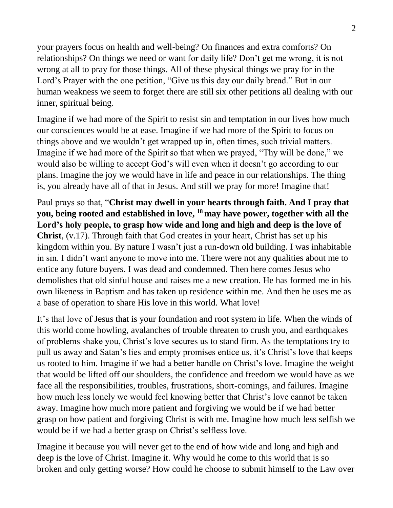your prayers focus on health and well-being? On finances and extra comforts? On relationships? On things we need or want for daily life? Don't get me wrong, it is not wrong at all to pray for those things. All of these physical things we pray for in the Lord's Prayer with the one petition, "Give us this day our daily bread." But in our human weakness we seem to forget there are still six other petitions all dealing with our inner, spiritual being.

Imagine if we had more of the Spirit to resist sin and temptation in our lives how much our consciences would be at ease. Imagine if we had more of the Spirit to focus on things above and we wouldn't get wrapped up in, often times, such trivial matters. Imagine if we had more of the Spirit so that when we prayed, "Thy will be done," we would also be willing to accept God's will even when it doesn't go according to our plans. Imagine the joy we would have in life and peace in our relationships. The thing is, you already have all of that in Jesus. And still we pray for more! Imagine that!

Paul prays so that, "**Christ may dwell in your hearts through faith. And I pray that you, being rooted and established in love, <sup>18</sup> may have power, together with all the Lord's holy people, to grasp how wide and long and high and deep is the love of Christ**, (v.17). Through faith that God creates in your heart, Christ has set up his kingdom within you. By nature I wasn't just a run-down old building. I was inhabitable in sin. I didn't want anyone to move into me. There were not any qualities about me to entice any future buyers. I was dead and condemned. Then here comes Jesus who demolishes that old sinful house and raises me a new creation. He has formed me in his own likeness in Baptism and has taken up residence within me. And then he uses me as a base of operation to share His love in this world. What love!

It's that love of Jesus that is your foundation and root system in life. When the winds of this world come howling, avalanches of trouble threaten to crush you, and earthquakes of problems shake you, Christ's love secures us to stand firm. As the temptations try to pull us away and Satan's lies and empty promises entice us, it's Christ's love that keeps us rooted to him. Imagine if we had a better handle on Christ's love. Imagine the weight that would be lifted off our shoulders, the confidence and freedom we would have as we face all the responsibilities, troubles, frustrations, short-comings, and failures. Imagine how much less lonely we would feel knowing better that Christ's love cannot be taken away. Imagine how much more patient and forgiving we would be if we had better grasp on how patient and forgiving Christ is with me. Imagine how much less selfish we would be if we had a better grasp on Christ's selfless love.

Imagine it because you will never get to the end of how wide and long and high and deep is the love of Christ. Imagine it. Why would he come to this world that is so broken and only getting worse? How could he choose to submit himself to the Law over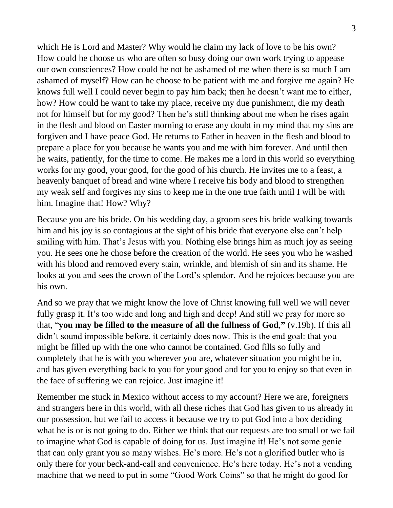which He is Lord and Master? Why would he claim my lack of love to be his own? How could he choose us who are often so busy doing our own work trying to appease our own consciences? How could he not be ashamed of me when there is so much I am ashamed of myself? How can he choose to be patient with me and forgive me again? He knows full well I could never begin to pay him back; then he doesn't want me to either, how? How could he want to take my place, receive my due punishment, die my death not for himself but for my good? Then he's still thinking about me when he rises again in the flesh and blood on Easter morning to erase any doubt in my mind that my sins are forgiven and I have peace God. He returns to Father in heaven in the flesh and blood to prepare a place for you because he wants you and me with him forever. And until then he waits, patiently, for the time to come. He makes me a lord in this world so everything works for my good, your good, for the good of his church. He invites me to a feast, a heavenly banquet of bread and wine where I receive his body and blood to strengthen my weak self and forgives my sins to keep me in the one true faith until I will be with him. Imagine that! How? Why?

Because you are his bride. On his wedding day, a groom sees his bride walking towards him and his joy is so contagious at the sight of his bride that everyone else can't help smiling with him. That's Jesus with you. Nothing else brings him as much joy as seeing you. He sees one he chose before the creation of the world. He sees you who he washed with his blood and removed every stain, wrinkle, and blemish of sin and its shame. He looks at you and sees the crown of the Lord's splendor. And he rejoices because you are his own.

And so we pray that we might know the love of Christ knowing full well we will never fully grasp it. It's too wide and long and high and deep! And still we pray for more so that, "**you may be filled to the measure of all the fullness of God**,**"** (v.19b). If this all didn't sound impossible before, it certainly does now. This is the end goal: that you might be filled up with the one who cannot be contained. God fills so fully and completely that he is with you wherever you are, whatever situation you might be in, and has given everything back to you for your good and for you to enjoy so that even in the face of suffering we can rejoice. Just imagine it!

Remember me stuck in Mexico without access to my account? Here we are, foreigners and strangers here in this world, with all these riches that God has given to us already in our possession, but we fail to access it because we try to put God into a box deciding what he is or is not going to do. Either we think that our requests are too small or we fail to imagine what God is capable of doing for us. Just imagine it! He's not some genie that can only grant you so many wishes. He's more. He's not a glorified butler who is only there for your beck-and-call and convenience. He's here today. He's not a vending machine that we need to put in some "Good Work Coins" so that he might do good for